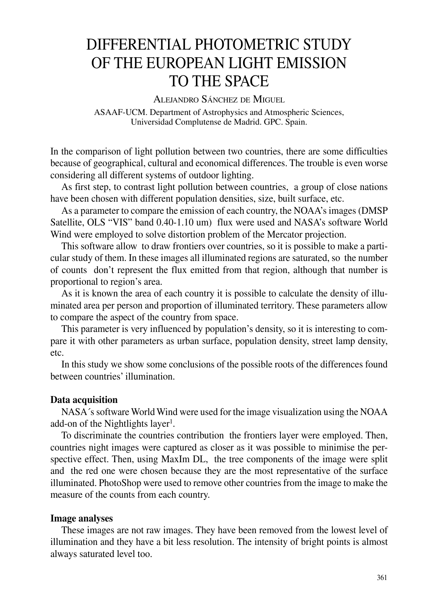# DIFFERENTIAL PHOTOMETRIC STUDY OF THE EUROPEAN LIGHT EMISSION TO THE SPACE

ALEJANDRO SÁNCHEZ DE MIGUEL ASAAF-UCM. Department of Astrophysics and Atmospheric Sciences, Universidad Complutense de Madrid. GPC. Spain.

In the comparison of light pollution between two countries, there are some difficulties because of geographical, cultural and economical differences. The trouble is even worse considering all different systems of outdoor lighting.

As first step, to contrast light pollution between countries, a group of close nations have been chosen with different population densities, size, built surface, etc.

As a parameter to compare the emission of each country, the NOAA's images (DMSP Satellite, OLS "VIS" band 0.40-1.10 um) flux were used and NASA's software World Wind were employed to solve distortion problem of the Mercator projection.

This software allow to draw frontiers over countries, so it is possible to make a particular study of them. In these images all illuminated regions are saturated, so the number of counts don't represent the flux emitted from that region, although that number is proportional to region's area.

As it is known the area of each country it is possible to calculate the density of illuminated area per person and proportion of illuminated territory. These parameters allow to compare the aspect of the country from space.

This parameter is very influenced by population's density, so it is interesting to compare it with other parameters as urban surface, population density, street lamp density, etc.

In this study we show some conclusions of the possible roots of the differences found between countries' illumination.

## **Data acquisition**

NASA´s software World Wind were used for the image visualization using the NOAA add-on of the Nightlights layer<sup>1</sup>.

To discriminate the countries contribution the frontiers layer were employed. Then, countries night images were captured as closer as it was possible to minimise the perspective effect. Then, using MaxIm DL, the tree components of the image were split and the red one were chosen because they are the most representative of the surface illuminated. PhotoShop were used to remove other countries from the image to make the measure of the counts from each country.

## **Image analyses**

These images are not raw images. They have been removed from the lowest level of illumination and they have a bit less resolution. The intensity of bright points is almost always saturated level too.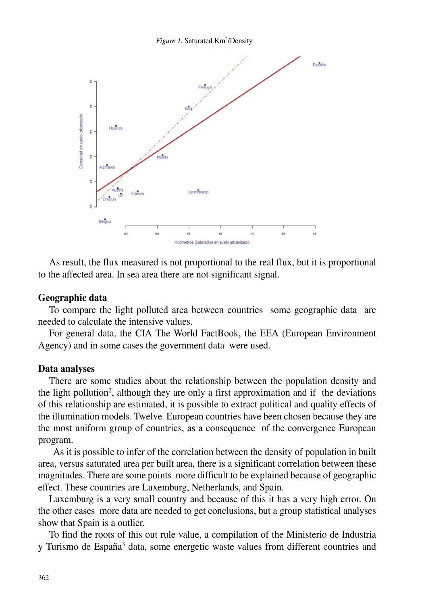



As result, the flux measured is not proportional to the real flux, but it is proportional to the affected area. In sea area there are not significant signal.

#### **Geographic data**

To compare the light polluted area between countries some geographic data are needed to calculate the intensive values.

For general data, the CIA The World FactBook, the EEA (European Environment Agency) and in some cases the government data were used.

#### **Data analyses**

There are some studies about the relationship between the population density and the light pollution<sup>2</sup>, although they are only a first approximation and if the deviations of this relationship are estimated, it is possible to extract political and quality effects of the illumination models. Twelve European countries have been chosen because they are the most uniform group of countries, as a consequence of the convergence European program.

 As it is possible to infer of the correlation between the density of population in built area, versus saturated area per built area, there is a significant correlation between these magnitudes. There are some points more difficult to be explained because of geographic effect. These countries are Luxemburg, Netherlands, and Spain.

Luxemburg is a very small country and because of this it has a very high error. On the other cases more data are needed to get conclusions, but a group statistical analyses show that Spain is a outlier.

To find the roots of this out rule value, a compilation of the Ministerio de Industria y Turismo de España<sup>3</sup> data, some energetic waste values from different countries and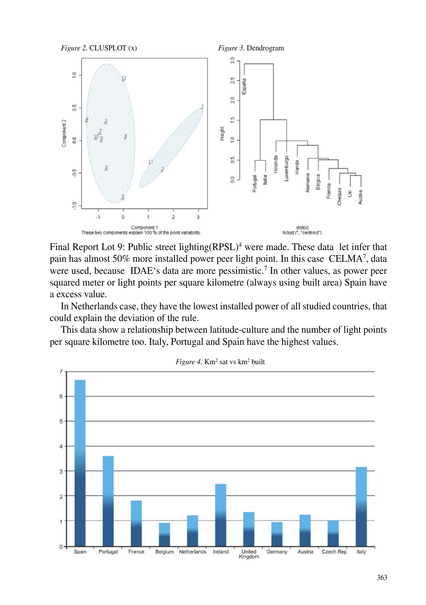

Final Report Lot 9: Public street lighting(RPSL)<sup>4</sup> were made. These data let infer that pain has almost 50% more installed power peer light point. In this case CELMA<sup>7</sup>, data were used, because IDAE's data are more pessimistic.<sup>7</sup> In other values, as power peer squared meter or light points per square kilometre (always using built area) Spain have a excess value.

In Netherlands case, they have the lowest installed power of all studied countries, that could explain the deviation of the rule.

This data show a relationship between latitude-culture and the number of light points per square kilometre too. Italy, Portugal and Spain have the highest values.



Figure 4. Km<sup>2</sup> sat vs km<sup>2</sup> built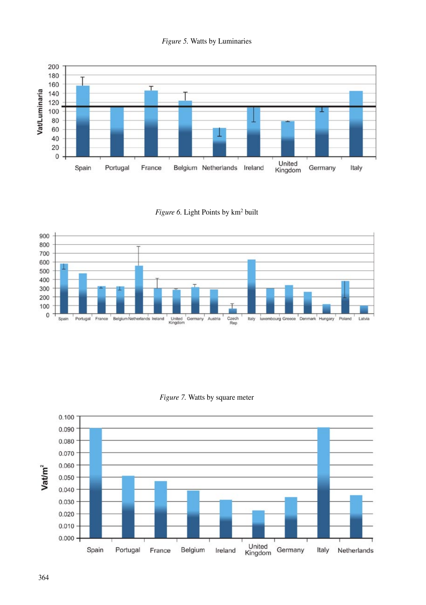



Figure 6. Light Points by km<sup>2</sup> built



*Figure 7.* Watts by square meter

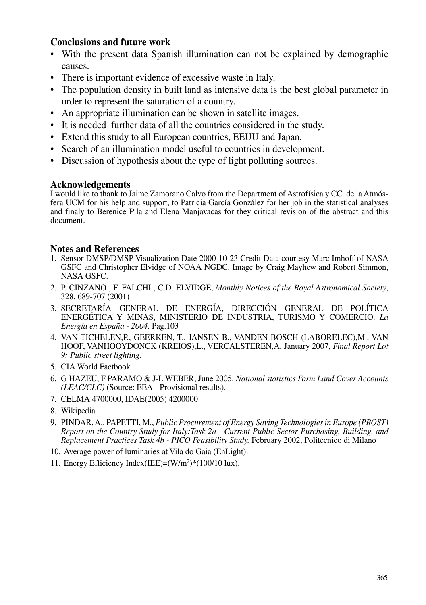# **Conclusions and future work**

- With the present data Spanish illumination can not be explained by demographic causes.
- There is important evidence of excessive waste in Italy.
- The population density in built land as intensive data is the best global parameter in order to represent the saturation of a country.
- An appropriate illumination can be shown in satellite images.
- It is needed further data of all the countries considered in the study.
- Extend this study to all European countries, EEUU and Japan.
- Search of an illumination model useful to countries in development.
- Discussion of hypothesis about the type of light polluting sources.

## **Acknowledgements**

I would like to thank to Jaime Zamorano Calvo from the Department of Astrofísica y CC. de la Atmósfera UCM for his help and support, to Patricia García González for her job in the statistical analyses and finaly to Berenice Pila and Elena Manjavacas for they critical revision of the abstract and this document.

# **Notes and References**

- 1. Sensor DMSP/DMSP Visualization Date 2000-10-23 Credit Data courtesy Marc Imhoff of NASA GSFC and Christopher Elvidge of NOAA NGDC. Image by Craig Mayhew and Robert Simmon, NASA GSFC.
- 2. P. CINZANO , F. FALCHI , C.D. ELVIDGE, *Monthly Notices of the Royal Astronomical Society*, 328, 689-707 (2001)
- 3. SECRETARÍA GENERAL DE ENERGÍA, DIRECCIÓN GENERAL DE POLÍTICA ENERGÉTICA Y MINAS, MINISTERIO DE INDUSTRIA, TURISMO Y COMERCIO. *La Energía en España - 2004.* Pag.103
- 4. VAN TICHELEN,P., GEERKEN, T., JANSEN B., VANDEN BOSCH (LABORELEC),M., VAN HOOF, VANHOOYDONCK (KREIOS),L., VERCALSTEREN,A, January 2007, *Final Report Lot 9: Public street lighting*.
- 5. CIA World Factbook
- 6. G HAZEU, F PARAMO & J-L WEBER, June 2005. *National statistics Form Land Cover Accounts (LEAC/CLC)* (Source: EEA - Provisional results).
- 7. CELMA 4700000, IDAE(2005) 4200000
- 8. Wikipedia
- 9. PINDAR, A., PAPETTI, M., *Public Procurement of Energy Saving Technologies in Europe (PROST) Report on the Country Study for Italy:Task 2a - Current Public Sector Purchasing, Building, and Replacement Practices Task 4b - PICO Feasibility Study.* February 2002, Politecnico di Milano
- 10. Average power of luminaries at Vila do Gaia (EnLight).
- 11. Energy Efficiency Index(IEE)=(W/m2 )\*(100/10 lux).